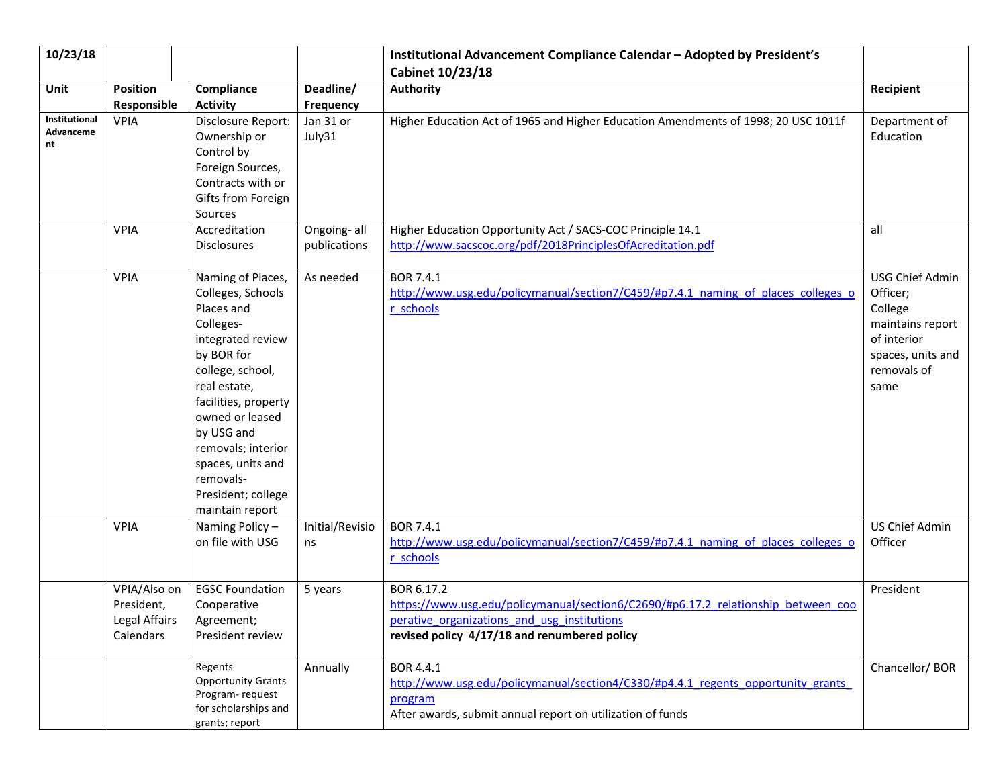| 10/23/18                         |                                                          |                                                                                                                                                                                                                                                                                                    |                             | Institutional Advancement Compliance Calendar - Adopted by President's<br>Cabinet 10/23/18                                                                                                     |                                                                                                                       |
|----------------------------------|----------------------------------------------------------|----------------------------------------------------------------------------------------------------------------------------------------------------------------------------------------------------------------------------------------------------------------------------------------------------|-----------------------------|------------------------------------------------------------------------------------------------------------------------------------------------------------------------------------------------|-----------------------------------------------------------------------------------------------------------------------|
| Unit                             | <b>Position</b><br>Responsible                           | Compliance<br><b>Activity</b>                                                                                                                                                                                                                                                                      | Deadline/<br>Frequency      | Authority                                                                                                                                                                                      | Recipient                                                                                                             |
| Institutional<br>Advanceme<br>nt | <b>VPIA</b>                                              | Disclosure Report:<br>Ownership or<br>Control by<br>Foreign Sources,<br>Contracts with or<br>Gifts from Foreign<br>Sources                                                                                                                                                                         | Jan 31 or<br>July31         | Higher Education Act of 1965 and Higher Education Amendments of 1998; 20 USC 1011f                                                                                                             | Department of<br>Education                                                                                            |
|                                  | <b>VPIA</b>                                              | Accreditation<br>Disclosures                                                                                                                                                                                                                                                                       | Ongoing-all<br>publications | Higher Education Opportunity Act / SACS-COC Principle 14.1<br>http://www.sacscoc.org/pdf/2018PrinciplesOfAcreditation.pdf                                                                      | all                                                                                                                   |
|                                  | <b>VPIA</b>                                              | Naming of Places,<br>Colleges, Schools<br>Places and<br>Colleges-<br>integrated review<br>by BOR for<br>college, school,<br>real estate,<br>facilities, property<br>owned or leased<br>by USG and<br>removals; interior<br>spaces, units and<br>removals-<br>President; college<br>maintain report | As needed                   | <b>BOR 7.4.1</b><br>http://www.usg.edu/policymanual/section7/C459/#p7.4.1 naming of places colleges o<br>r schools                                                                             | USG Chief Admin<br>Officer;<br>College<br>maintains report<br>of interior<br>spaces, units and<br>removals of<br>same |
|                                  | <b>VPIA</b>                                              | Naming Policy-<br>on file with USG                                                                                                                                                                                                                                                                 | Initial/Revisio<br>ns       | BOR 7.4.1<br>http://www.usg.edu/policymanual/section7/C459/#p7.4.1 naming of places colleges o<br>r schools                                                                                    | US Chief Admin<br>Officer                                                                                             |
|                                  | VPIA/Also on<br>President,<br>Legal Affairs<br>Calendars | <b>EGSC Foundation</b><br>Cooperative<br>Agreement;<br>President review                                                                                                                                                                                                                            | 5 years                     | BOR 6.17.2<br>https://www.usg.edu/policymanual/section6/C2690/#p6.17.2 relationship between coo<br>perative organizations and usg institutions<br>revised policy 4/17/18 and renumbered policy | President                                                                                                             |
|                                  |                                                          | Regents<br><b>Opportunity Grants</b><br>Program-request<br>for scholarships and<br>grants; report                                                                                                                                                                                                  | Annually                    | BOR 4.4.1<br>http://www.usg.edu/policymanual/section4/C330/#p4.4.1 regents opportunity grants<br>program<br>After awards, submit annual report on utilization of funds                         | Chancellor/BOR                                                                                                        |